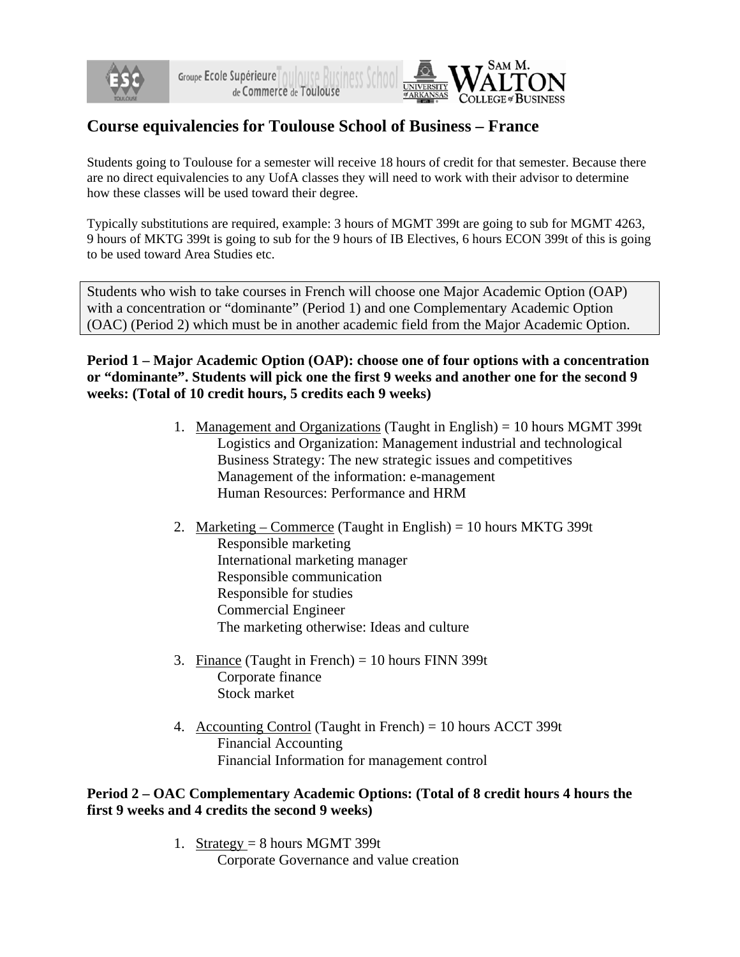



# **Course equivalencies for Toulouse School of Business – France**

Students going to Toulouse for a semester will receive 18 hours of credit for that semester. Because there are no direct equivalencies to any UofA classes they will need to work with their advisor to determine how these classes will be used toward their degree.

Typically substitutions are required, example: 3 hours of MGMT 399t are going to sub for MGMT 4263, 9 hours of MKTG 399t is going to sub for the 9 hours of IB Electives, 6 hours ECON 399t of this is going to be used toward Area Studies etc.

Students who wish to take courses in French will choose one Major Academic Option (OAP) with a concentration or "dominante" (Period 1) and one Complementary Academic Option (OAC) (Period 2) which must be in another academic field from the Major Academic Option.

**Period 1 – Major Academic Option (OAP): choose one of four options with a concentration or "dominante". Students will pick one the first 9 weeks and another one for the second 9 weeks: (Total of 10 credit hours, 5 credits each 9 weeks)** 

- 1. Management and Organizations (Taught in English) = 10 hours MGMT 399t Logistics and Organization: Management industrial and technological Business Strategy: The new strategic issues and competitives Management of the information: e-management Human Resources: Performance and HRM
- 2. Marketing Commerce (Taught in English) = 10 hours MKTG 399t Responsible marketing International marketing manager Responsible communication Responsible for studies Commercial Engineer The marketing otherwise: Ideas and culture
- 3. Finance (Taught in French) =  $10$  hours FINN 399t Corporate finance Stock market
- 4. Accounting Control (Taught in French) = 10 hours ACCT 399t Financial Accounting Financial Information for management control

## **Period 2 – OAC Complementary Academic Options: (Total of 8 credit hours 4 hours the first 9 weeks and 4 credits the second 9 weeks)**

1. Strategy =  $8$  hours MGMT 399t Corporate Governance and value creation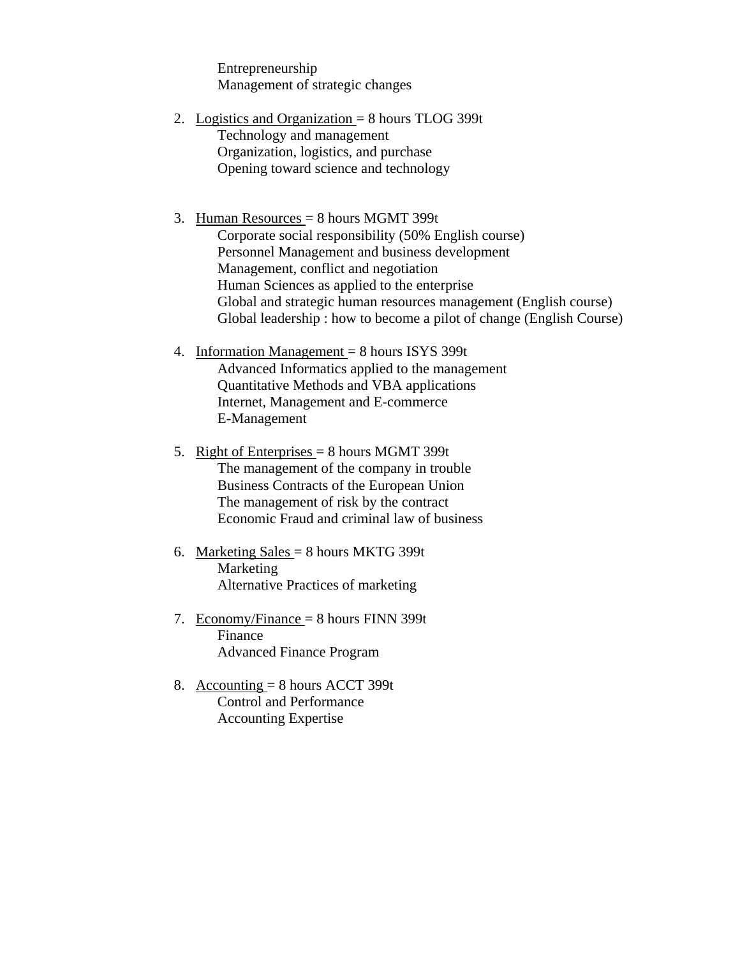Entrepreneurship Management of strategic changes

2. Logistics and Organization  $= 8$  hours TLOG 399t Technology and management Organization, logistics, and purchase Opening toward science and technology

#### 3. Human Resources = 8 hours MGMT 399t

Corporate social responsibility (50% English course) Personnel Management and business development Management, conflict and negotiation Human Sciences as applied to the enterprise Global and strategic human resources management (English course) Global leadership : how to become a pilot of change (English Course)

- 4. Information Management = 8 hours ISYS 399t Advanced Informatics applied to the management Quantitative Methods and VBA applications Internet, Management and E-commerce E-Management
- 5. Right of Enterprises = 8 hours MGMT 399t The management of the company in trouble Business Contracts of the European Union The management of risk by the contract Economic Fraud and criminal law of business
- 6. Marketing Sales = 8 hours MKTG 399t Marketing Alternative Practices of marketing
- 7. Economy/Finance = 8 hours FINN 399t Finance Advanced Finance Program
- 8. Accounting  $= 8$  hours ACCT 399t Control and Performance Accounting Expertise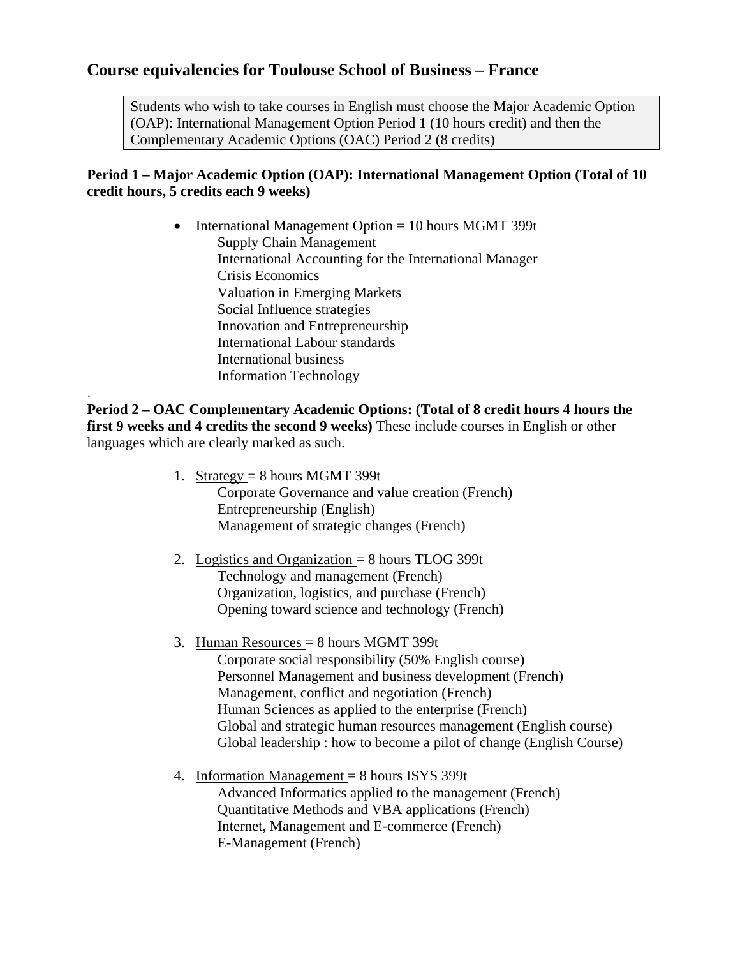## **Course equivalencies for Toulouse School of Business – France**

Students who wish to take courses in English must choose the Major Academic Option (OAP): International Management Option Period 1 (10 hours credit) and then the Complementary Academic Options (OAC) Period 2 (8 credits)

## **Period 1 – Major Academic Option (OAP): International Management Option (Total of 10 credit hours, 5 credits each 9 weeks)**

• International Management Option = 10 hours MGMT 399t Supply Chain Management International Accounting for the International Manager Crisis Economics Valuation in Emerging Markets Social Influence strategies Innovation and Entrepreneurship International Labour standards International business Information Technology

**Period 2 – OAC Complementary Academic Options: (Total of 8 credit hours 4 hours the first 9 weeks and 4 credits the second 9 weeks)** These include courses in English or other languages which are clearly marked as such.

.

- 1. Strategy =  $8$  hours MGMT 399t Corporate Governance and value creation (French) Entrepreneurship (English) Management of strategic changes (French)
- 2. Logistics and Organization  $= 8$  hours TLOG 399t Technology and management (French) Organization, logistics, and purchase (French) Opening toward science and technology (French)
- 3. Human Resources = 8 hours MGMT 399t Corporate social responsibility (50% English course) Personnel Management and business development (French) Management, conflict and negotiation (French) Human Sciences as applied to the enterprise (French) Global and strategic human resources management (English course) Global leadership : how to become a pilot of change (English Course)
- 4. Information Management = 8 hours ISYS 399t Advanced Informatics applied to the management (French) Quantitative Methods and VBA applications (French) Internet, Management and E-commerce (French) E-Management (French)